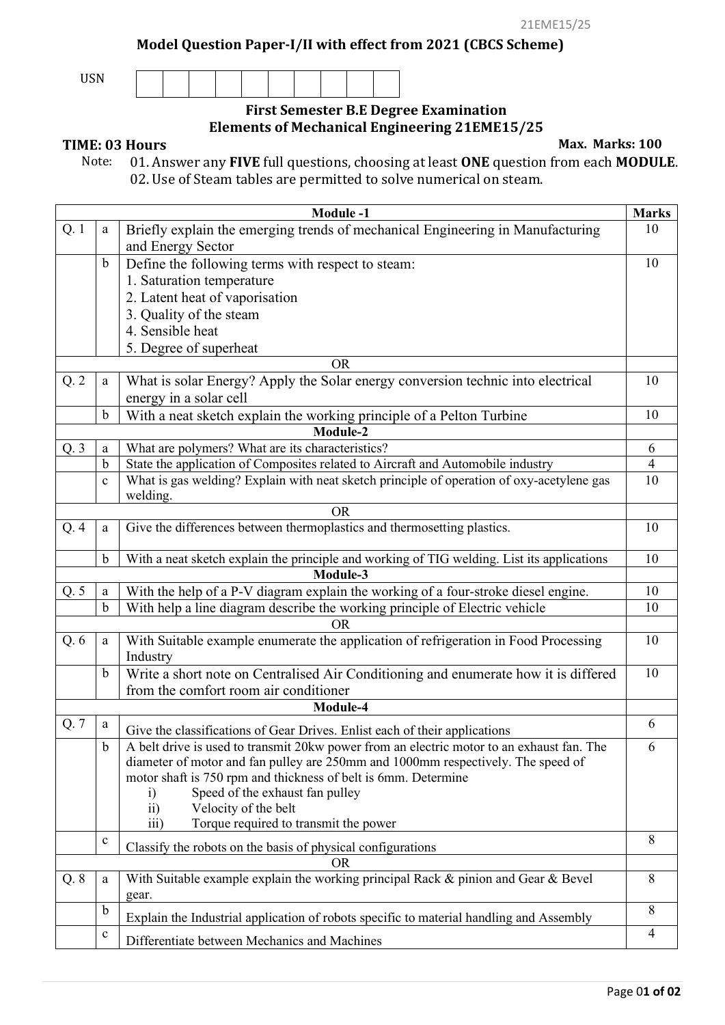**Model Question Paper-I/II with effect from 2021 (CBCS Scheme)**

USN

## **First Semester B.E Degree Examination Elements of Mechanical Engineering 21EME15/25**

**TIME: 03 Hours** Max. Marks: 100<br>Note: 01. Answer any **FIVE** full questions. choosing at least **ONE** question from each **MODUI**  Note: 01. Answer any **FIVE** full questions, choosing at least **ONE** question from each **MODULE**. 02. Use of Steam tables are permitted to solve numerical on steam.

|      |              | <b>Module -1</b>                                                                                                                                                              | <b>Marks</b>   |
|------|--------------|-------------------------------------------------------------------------------------------------------------------------------------------------------------------------------|----------------|
| Q. 1 | $\mathbf{a}$ | Briefly explain the emerging trends of mechanical Engineering in Manufacturing<br>and Energy Sector                                                                           | 10             |
|      | $\mathbf b$  | Define the following terms with respect to steam:                                                                                                                             | 10             |
|      |              | 1. Saturation temperature                                                                                                                                                     |                |
|      |              | 2. Latent heat of vaporisation                                                                                                                                                |                |
|      |              | 3. Quality of the steam                                                                                                                                                       |                |
|      |              | 4. Sensible heat                                                                                                                                                              |                |
|      |              | 5. Degree of superheat                                                                                                                                                        |                |
|      |              | <b>OR</b>                                                                                                                                                                     |                |
| Q.2  | a            | What is solar Energy? Apply the Solar energy conversion technic into electrical                                                                                               | 10             |
|      |              | energy in a solar cell                                                                                                                                                        |                |
|      | $\mathbf b$  | With a neat sketch explain the working principle of a Pelton Turbine                                                                                                          | 10             |
|      |              | Module-2                                                                                                                                                                      |                |
| Q.3  | $\mathbf{a}$ | What are polymers? What are its characteristics?                                                                                                                              | 6              |
|      | b            | State the application of Composites related to Aircraft and Automobile industry                                                                                               | $\overline{4}$ |
|      | $\mathbf{C}$ | What is gas welding? Explain with neat sketch principle of operation of oxy-acetylene gas                                                                                     | 10             |
|      |              | welding.                                                                                                                                                                      |                |
|      |              | <b>OR</b>                                                                                                                                                                     |                |
| Q.4  | a            | Give the differences between thermoplastics and thermosetting plastics.                                                                                                       | 10             |
|      | $\mathbf b$  | With a neat sketch explain the principle and working of TIG welding. List its applications                                                                                    | 10             |
|      |              | Module-3                                                                                                                                                                      |                |
| Q.5  | $\rm{a}$     | With the help of a P-V diagram explain the working of a four-stroke diesel engine.                                                                                            | 10             |
|      | $\mathbf b$  | With help a line diagram describe the working principle of Electric vehicle                                                                                                   | 10             |
|      |              | OR                                                                                                                                                                            |                |
| Q.6  | $\mathbf{a}$ | With Suitable example enumerate the application of refrigeration in Food Processing<br>Industry                                                                               | 10             |
|      | $\mathbf b$  | Write a short note on Centralised Air Conditioning and enumerate how it is differed                                                                                           | 10             |
|      |              | from the comfort room air conditioner                                                                                                                                         |                |
|      |              | Module-4                                                                                                                                                                      |                |
| Q. 7 | a            | Give the classifications of Gear Drives. Enlist each of their applications                                                                                                    | 6              |
|      | $\mathbf b$  | A belt drive is used to transmit 20kw power from an electric motor to an exhaust fan. The<br>diameter of motor and fan pulley are 250mm and 1000mm respectively. The speed of | 6              |
|      |              | motor shaft is 750 rpm and thickness of belt is 6mm. Determine                                                                                                                |                |
|      |              | Speed of the exhaust fan pulley<br>$\rm i)$<br>Velocity of the belt<br>$\overline{11}$                                                                                        |                |
|      |              | $\overline{iii}$<br>Torque required to transmit the power                                                                                                                     |                |
|      | $\mathbf c$  | Classify the robots on the basis of physical configurations                                                                                                                   | 8              |
|      |              | <b>OR</b>                                                                                                                                                                     |                |
| Q.8  | a            | With Suitable example explain the working principal Rack & pinion and Gear & Bevel<br>gear.                                                                                   | 8              |
|      | $\mathbf b$  | Explain the Industrial application of robots specific to material handling and Assembly                                                                                       | 8              |
|      | $\mathbf{C}$ | Differentiate between Mechanics and Machines                                                                                                                                  | $\overline{4}$ |
|      |              |                                                                                                                                                                               |                |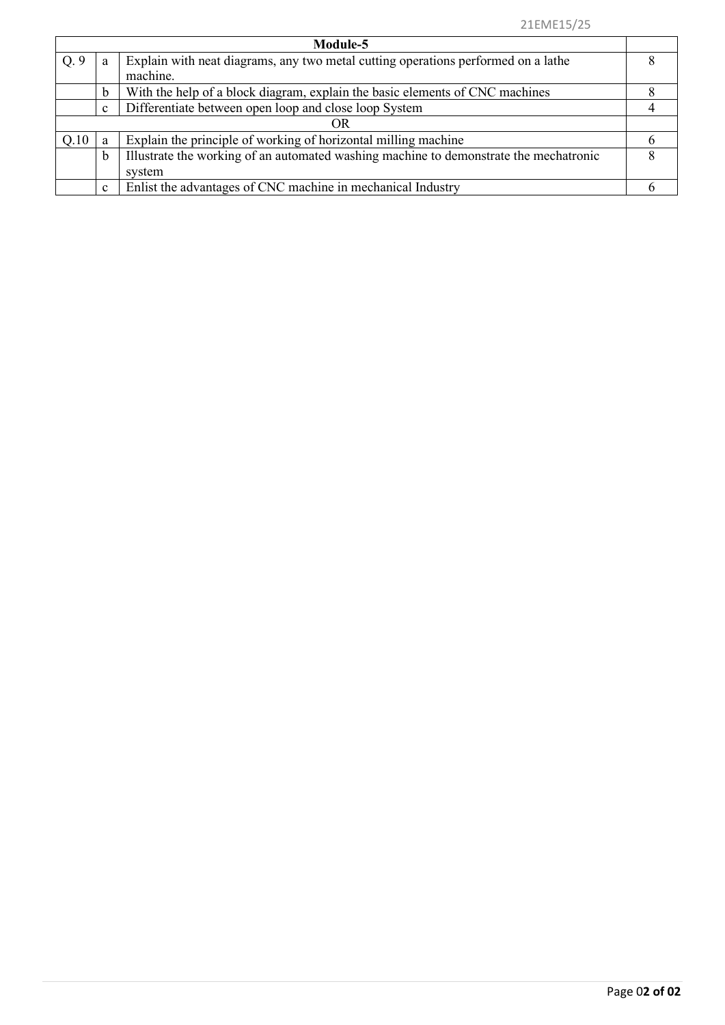| Module-5 |              |                                                                                       |   |  |
|----------|--------------|---------------------------------------------------------------------------------------|---|--|
| Q.9      | a            | Explain with neat diagrams, any two metal cutting operations performed on a lathe     |   |  |
|          |              | machine.                                                                              |   |  |
|          | b            | With the help of a block diagram, explain the basic elements of CNC machines          |   |  |
|          | $\mathbf c$  | Differentiate between open loop and close loop System                                 |   |  |
|          |              | OR                                                                                    |   |  |
| Q.10     | a            | Explain the principle of working of horizontal milling machine                        |   |  |
|          | b            | Illustrate the working of an automated washing machine to demonstrate the mechatronic | 8 |  |
|          |              | system                                                                                |   |  |
|          | $\mathbf{c}$ | Enlist the advantages of CNC machine in mechanical Industry                           |   |  |